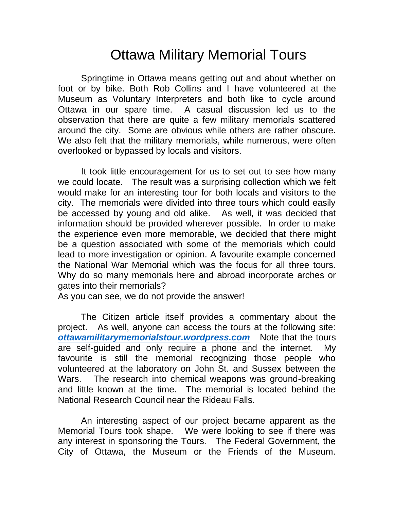## Ottawa Military Memorial Tours

Springtime in Ottawa means getting out and about whether on foot or by bike. Both Rob Collins and I have volunteered at the Museum as Voluntary Interpreters and both like to cycle around Ottawa in our spare time. A casual discussion led us to the observation that there are quite a few military memorials scattered around the city. Some are obvious while others are rather obscure. We also felt that the military memorials, while numerous, were often overlooked or bypassed by locals and visitors.

It took little encouragement for us to set out to see how many we could locate. The result was a surprising collection which we felt would make for an interesting tour for both locals and visitors to the city. The memorials were divided into three tours which could easily be accessed by young and old alike. As well, it was decided that information should be provided wherever possible. In order to make the experience even more memorable, we decided that there might be a question associated with some of the memorials which could lead to more investigation or opinion. A favourite example concerned the National War Memorial which was the focus for all three tours. Why do so many memorials here and abroad incorporate arches or gates into their memorials?

As you can see, we do not provide the answer!

The Citizen article itself provides a commentary about the project. As well, anyone can access the tours at the following site: *[ottawamilitarymemorialstour.wordpress.com](https://ottawamilitarymemorialstour.wordpress.com/)* Note that the tours are self-guided and only require a phone and the internet. My favourite is still the memorial recognizing those people who volunteered at the laboratory on John St. and Sussex between the Wars. The research into chemical weapons was ground-breaking and little known at the time. The memorial is located behind the National Research Council near the Rideau Falls.

An interesting aspect of our project became apparent as the Memorial Tours took shape. We were looking to see if there was any interest in sponsoring the Tours. The Federal Government, the City of Ottawa, the Museum or the Friends of the Museum.